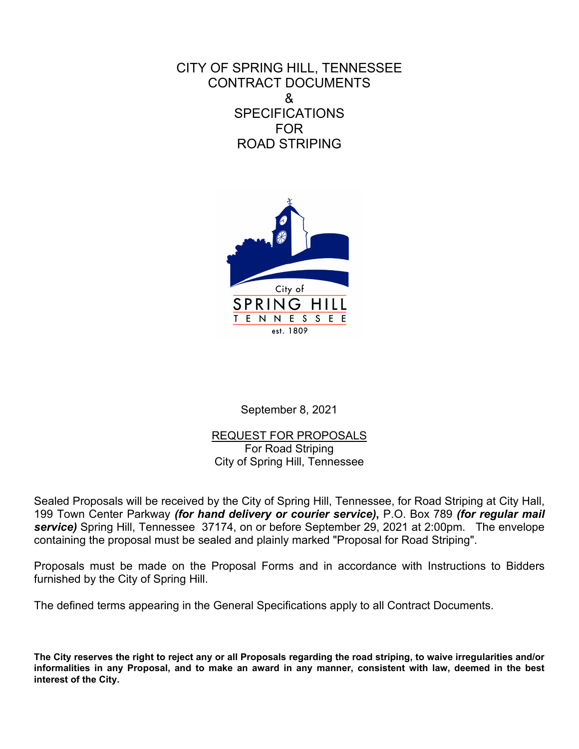CITY OF SPRING HILL, TENNESSEE CONTRACT DOCUMENTS & **SPECIFICATIONS** FOR ROAD STRIPING



September 8, 2021

REQUEST FOR PROPOSALS For Road Striping City of Spring Hill, Tennessee

Sealed Proposals will be received by the City of Spring Hill, Tennessee, for Road Striping at City Hall, 199 Town Center Parkway *(for hand delivery or courier service)***,** P.O. Box 789 *(for regular mail service)* Spring Hill, Tennessee 37174, on or before September 29, 2021 at 2:00pm. The envelope containing the proposal must be sealed and plainly marked "Proposal for Road Striping".

Proposals must be made on the Proposal Forms and in accordance with Instructions to Bidders furnished by the City of Spring Hill.

The defined terms appearing in the General Specifications apply to all Contract Documents.

**The City reserves the right to reject any or all Proposals regarding the road striping, to waive irregularities and/or informalities in any Proposal, and to make an award in any manner, consistent with law, deemed in the best interest of the City.**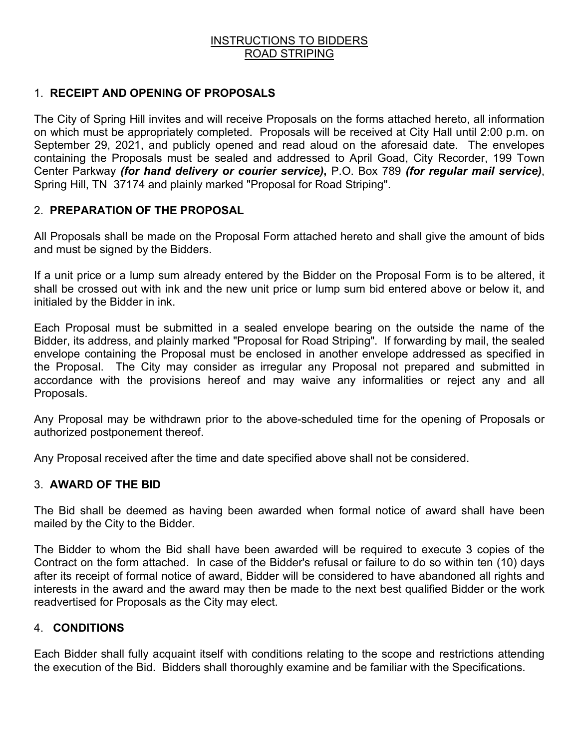#### INSTRUCTIONS TO BIDDERS ROAD STRIPING

#### 1. **RECEIPT AND OPENING OF PROPOSALS**

The City of Spring Hill invites and will receive Proposals on the forms attached hereto, all information on which must be appropriately completed. Proposals will be received at City Hall until 2:00 p.m. on September 29, 2021, and publicly opened and read aloud on the aforesaid date. The envelopes containing the Proposals must be sealed and addressed to April Goad, City Recorder, 199 Town Center Parkway *(for hand delivery or courier service)***,** P.O. Box 789 *(for regular mail service)*, Spring Hill, TN 37174 and plainly marked "Proposal for Road Striping".

### 2. **PREPARATION OF THE PROPOSAL**

All Proposals shall be made on the Proposal Form attached hereto and shall give the amount of bids and must be signed by the Bidders.

If a unit price or a lump sum already entered by the Bidder on the Proposal Form is to be altered, it shall be crossed out with ink and the new unit price or lump sum bid entered above or below it, and initialed by the Bidder in ink.

Each Proposal must be submitted in a sealed envelope bearing on the outside the name of the Bidder, its address, and plainly marked "Proposal for Road Striping". If forwarding by mail, the sealed envelope containing the Proposal must be enclosed in another envelope addressed as specified in the Proposal. The City may consider as irregular any Proposal not prepared and submitted in accordance with the provisions hereof and may waive any informalities or reject any and all Proposals.

Any Proposal may be withdrawn prior to the above-scheduled time for the opening of Proposals or authorized postponement thereof.

Any Proposal received after the time and date specified above shall not be considered.

#### 3. **AWARD OF THE BID**

The Bid shall be deemed as having been awarded when formal notice of award shall have been mailed by the City to the Bidder.

The Bidder to whom the Bid shall have been awarded will be required to execute 3 copies of the Contract on the form attached. In case of the Bidder's refusal or failure to do so within ten (10) days after its receipt of formal notice of award, Bidder will be considered to have abandoned all rights and interests in the award and the award may then be made to the next best qualified Bidder or the work readvertised for Proposals as the City may elect.

#### 4. **CONDITIONS**

Each Bidder shall fully acquaint itself with conditions relating to the scope and restrictions attending the execution of the Bid. Bidders shall thoroughly examine and be familiar with the Specifications.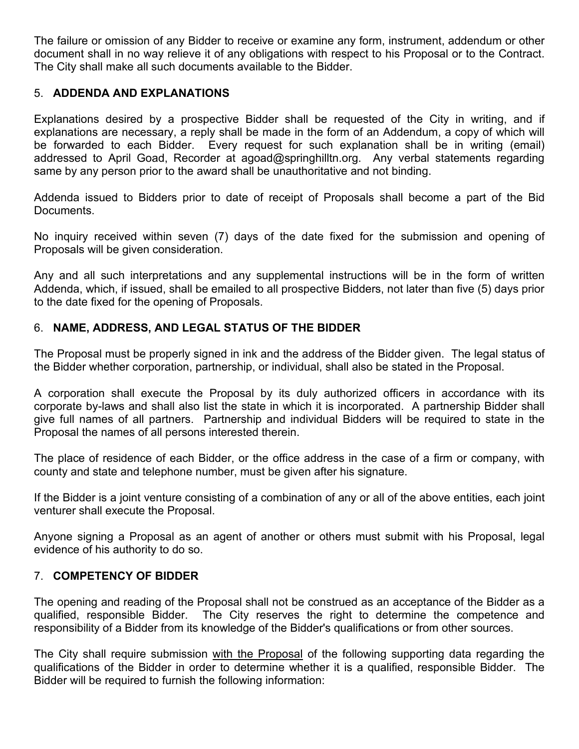The failure or omission of any Bidder to receive or examine any form, instrument, addendum or other document shall in no way relieve it of any obligations with respect to his Proposal or to the Contract. The City shall make all such documents available to the Bidder.

## 5. **ADDENDA AND EXPLANATIONS**

Explanations desired by a prospective Bidder shall be requested of the City in writing, and if explanations are necessary, a reply shall be made in the form of an Addendum, a copy of which will be forwarded to each Bidder. Every request for such explanation shall be in writing (email) addressed to April Goad, Recorder at agoad@springhilltn.org. Any verbal statements regarding same by any person prior to the award shall be unauthoritative and not binding.

Addenda issued to Bidders prior to date of receipt of Proposals shall become a part of the Bid Documents.

No inquiry received within seven (7) days of the date fixed for the submission and opening of Proposals will be given consideration.

Any and all such interpretations and any supplemental instructions will be in the form of written Addenda, which, if issued, shall be emailed to all prospective Bidders, not later than five (5) days prior to the date fixed for the opening of Proposals.

# 6. **NAME, ADDRESS, AND LEGAL STATUS OF THE BIDDER**

The Proposal must be properly signed in ink and the address of the Bidder given. The legal status of the Bidder whether corporation, partnership, or individual, shall also be stated in the Proposal.

A corporation shall execute the Proposal by its duly authorized officers in accordance with its corporate by-laws and shall also list the state in which it is incorporated. A partnership Bidder shall give full names of all partners. Partnership and individual Bidders will be required to state in the Proposal the names of all persons interested therein.

The place of residence of each Bidder, or the office address in the case of a firm or company, with county and state and telephone number, must be given after his signature.

If the Bidder is a joint venture consisting of a combination of any or all of the above entities, each joint venturer shall execute the Proposal.

Anyone signing a Proposal as an agent of another or others must submit with his Proposal, legal evidence of his authority to do so.

# 7. **COMPETENCY OF BIDDER**

The opening and reading of the Proposal shall not be construed as an acceptance of the Bidder as a qualified, responsible Bidder. The City reserves the right to determine the competence and responsibility of a Bidder from its knowledge of the Bidder's qualifications or from other sources.

The City shall require submission with the Proposal of the following supporting data regarding the qualifications of the Bidder in order to determine whether it is a qualified, responsible Bidder. The Bidder will be required to furnish the following information: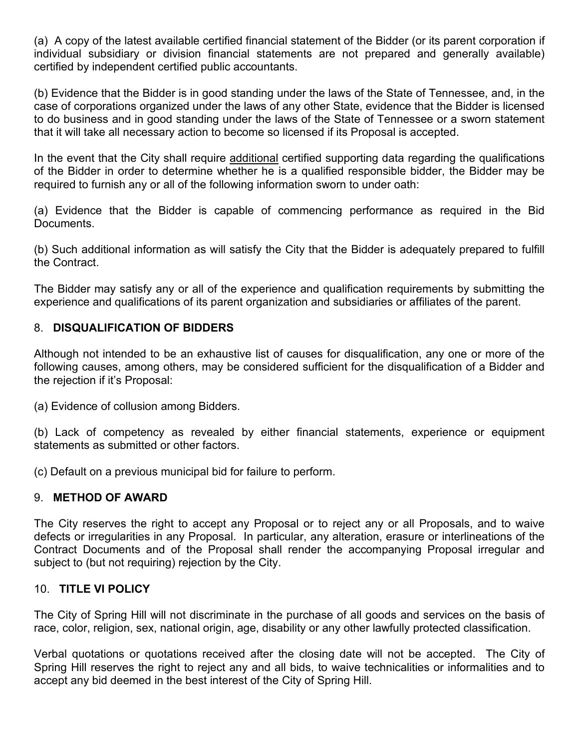(a) A copy of the latest available certified financial statement of the Bidder (or its parent corporation if individual subsidiary or division financial statements are not prepared and generally available) certified by independent certified public accountants.

(b) Evidence that the Bidder is in good standing under the laws of the State of Tennessee, and, in the case of corporations organized under the laws of any other State, evidence that the Bidder is licensed to do business and in good standing under the laws of the State of Tennessee or a sworn statement that it will take all necessary action to become so licensed if its Proposal is accepted.

In the event that the City shall require additional certified supporting data regarding the qualifications of the Bidder in order to determine whether he is a qualified responsible bidder, the Bidder may be required to furnish any or all of the following information sworn to under oath:

(a) Evidence that the Bidder is capable of commencing performance as required in the Bid Documents.

(b) Such additional information as will satisfy the City that the Bidder is adequately prepared to fulfill the Contract.

The Bidder may satisfy any or all of the experience and qualification requirements by submitting the experience and qualifications of its parent organization and subsidiaries or affiliates of the parent.

## 8. **DISQUALIFICATION OF BIDDERS**

Although not intended to be an exhaustive list of causes for disqualification, any one or more of the following causes, among others, may be considered sufficient for the disqualification of a Bidder and the rejection if it's Proposal:

(a) Evidence of collusion among Bidders.

(b) Lack of competency as revealed by either financial statements, experience or equipment statements as submitted or other factors.

(c) Default on a previous municipal bid for failure to perform.

#### 9. **METHOD OF AWARD**

The City reserves the right to accept any Proposal or to reject any or all Proposals, and to waive defects or irregularities in any Proposal. In particular, any alteration, erasure or interlineations of the Contract Documents and of the Proposal shall render the accompanying Proposal irregular and subject to (but not requiring) rejection by the City.

#### 10. **TITLE VI POLICY**

The City of Spring Hill will not discriminate in the purchase of all goods and services on the basis of race, color, religion, sex, national origin, age, disability or any other lawfully protected classification.

Verbal quotations or quotations received after the closing date will not be accepted. The City of Spring Hill reserves the right to reject any and all bids, to waive technicalities or informalities and to accept any bid deemed in the best interest of the City of Spring Hill.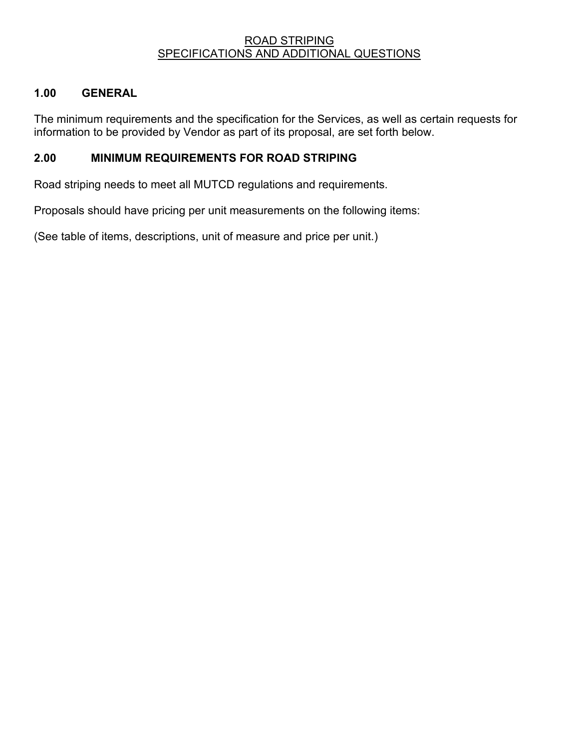#### ROAD STRIPING SPECIFICATIONS AND ADDITIONAL QUESTIONS

## **1.00 GENERAL**

The minimum requirements and the specification for the Services, as well as certain requests for information to be provided by Vendor as part of its proposal, are set forth below.

## **2.00 MINIMUM REQUIREMENTS FOR ROAD STRIPING**

Road striping needs to meet all MUTCD regulations and requirements.

Proposals should have pricing per unit measurements on the following items:

(See table of items, descriptions, unit of measure and price per unit.)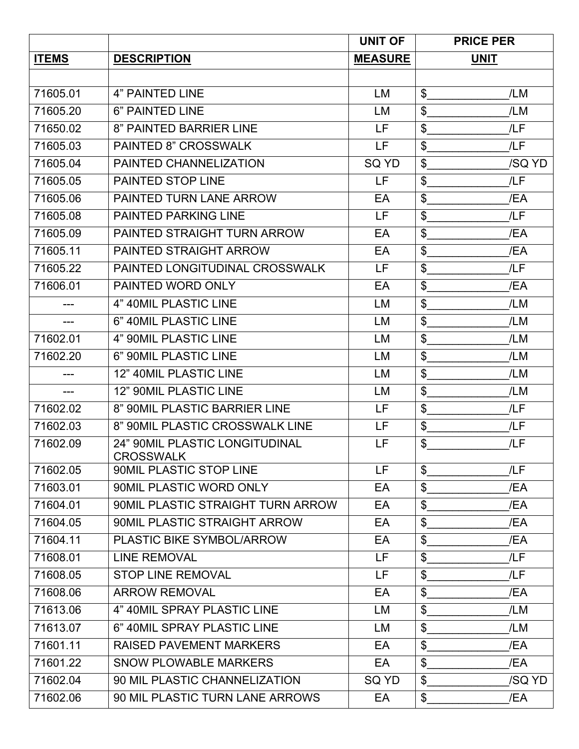|              |                                                    | <b>UNIT OF</b> | <b>PRICE PER</b>     |
|--------------|----------------------------------------------------|----------------|----------------------|
| <b>ITEMS</b> | <b>DESCRIPTION</b>                                 | <b>MEASURE</b> | <b>UNIT</b>          |
|              |                                                    |                |                      |
| 71605.01     | <b>4" PAINTED LINE</b>                             | LM             | \$<br>/LM            |
| 71605.20     | 6" PAINTED LINE                                    | LM             | \$<br>/LM            |
| 71650.02     | 8" PAINTED BARRIER LINE                            | LF             | \$<br>/LF            |
| 71605.03     | <b>PAINTED 8" CROSSWALK</b>                        | LF.            | \$<br>/LF            |
| 71605.04     | PAINTED CHANNELIZATION                             | SQ YD          | \$<br>/SQ YD         |
| 71605.05     | <b>PAINTED STOP LINE</b>                           | LF             | \$<br>/LF            |
| 71605.06     | PAINTED TURN LANE ARROW                            | EA             | \$<br>/EA            |
| 71605.08     | <b>PAINTED PARKING LINE</b>                        | LF.            | /LF<br>\$            |
| 71605.09     | PAINTED STRAIGHT TURN ARROW                        | EA             | $\frac{1}{2}$<br>/EA |
| 71605.11     | <b>PAINTED STRAIGHT ARROW</b>                      | EA             | $\frac{1}{2}$<br>/EA |
| 71605.22     | PAINTED LONGITUDINAL CROSSWALK                     | LF.            | \$<br>/LF            |
| 71606.01     | PAINTED WORD ONLY                                  | EA             | \$<br>/EA            |
|              | 4" 40MIL PLASTIC LINE                              | LM             | \$<br>/LM            |
| ---          | 6" 40MIL PLASTIC LINE                              | LM             | \$<br>/LM            |
| 71602.01     | 4" 90MIL PLASTIC LINE                              | LM             | \$<br>/LM            |
| 71602.20     | 6" 90MIL PLASTIC LINE                              | LM             | \$<br>/LM            |
| ---          | 12" 40MIL PLASTIC LINE                             | LM             | \$<br>/LM            |
| $---$        | 12" 90MIL PLASTIC LINE                             | LM             | \$<br>/LM            |
| 71602.02     | 8" 90MIL PLASTIC BARRIER LINE                      | LF             | $\frac{1}{2}$<br>/LF |
| 71602.03     | 8" 90MIL PLASTIC CROSSWALK LINE                    | LF             | \$<br>/LF            |
| 71602.09     | <b>24" 90MIL PLASTIC LONGITUDINAL</b><br>CROSSWALK | LF             | \$<br>/LF            |
| 71602.05     | 90MIL PLASTIC STOP LINE                            | LF.            | \$<br>/LF            |
| 71603.01     | 90MIL PLASTIC WORD ONLY                            | EA             | \$<br>/EA            |
| 71604.01     | 90MIL PLASTIC STRAIGHT TURN ARROW                  | EA             | \$<br>/EA            |
| 71604.05     | 90MIL PLASTIC STRAIGHT ARROW                       | EA             | \$<br>/EA            |
| 71604.11     | <b>PLASTIC BIKE SYMBOL/ARROW</b>                   | EA             | $\frac{1}{2}$<br>/EA |
| 71608.01     | <b>LINE REMOVAL</b>                                | LF.            | \$<br>/LF            |
| 71608.05     | <b>STOP LINE REMOVAL</b>                           | LF.            | \$<br>/LF            |
| 71608.06     | <b>ARROW REMOVAL</b>                               | EA             | \$<br>/EA            |
| 71613.06     | 4" 40MIL SPRAY PLASTIC LINE                        | LM             | \$<br>/LM            |
| 71613.07     | 6" 40MIL SPRAY PLASTIC LINE                        | LM             | \$<br>/LM            |
| 71601.11     | <b>RAISED PAVEMENT MARKERS</b>                     | EA             | \$<br>/EA            |
| 71601.22     | <b>SNOW PLOWABLE MARKERS</b>                       | EA             | \$<br>/EA            |
| 71602.04     | 90 MIL PLASTIC CHANNELIZATION                      | SQ YD          | \$<br>/SQ YD         |
| 71602.06     | 90 MIL PLASTIC TURN LANE ARROWS                    | EA             | $\delta$<br>/EA      |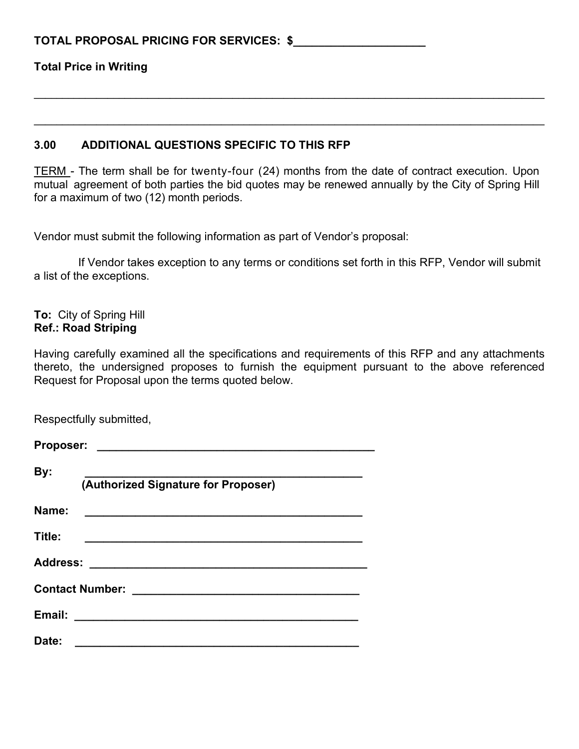### **TOTAL PROPOSAL PRICING FOR SERVICES: \$\_\_\_\_\_\_\_\_\_\_\_\_\_\_\_\_\_\_\_\_\_**

**Total Price in Writing**

#### **3.00 ADDITIONAL QUESTIONS SPECIFIC TO THIS RFP**

TERM - The term shall be for twenty-four (24) months from the date of contract execution. Upon mutual agreement of both parties the bid quotes may be renewed annually by the City of Spring Hill for a maximum of two (12) month periods.

**\_\_\_\_\_\_\_\_\_\_\_\_\_\_\_\_\_\_\_\_\_\_\_\_\_\_\_\_\_\_\_\_\_\_\_\_\_\_\_\_\_\_\_\_\_\_\_\_\_\_\_\_\_\_\_\_\_\_\_\_\_\_\_\_\_\_\_\_\_\_\_\_\_\_\_\_\_\_\_\_\_\_\_\_\_\_\_\_\_\_**

**\_\_\_\_\_\_\_\_\_\_\_\_\_\_\_\_\_\_\_\_\_\_\_\_\_\_\_\_\_\_\_\_\_\_\_\_\_\_\_\_\_\_\_\_\_\_\_\_\_\_\_\_\_\_\_\_\_\_\_\_\_\_\_\_\_\_\_\_\_\_\_\_\_\_\_\_\_\_\_\_\_\_\_\_\_\_\_\_\_\_**

Vendor must submit the following information as part of Vendor's proposal:

 If Vendor takes exception to any terms or conditions set forth in this RFP, Vendor will submit a list of the exceptions.

**To:** City of Spring Hill **Ref.: Road Striping**

Having carefully examined all the specifications and requirements of this RFP and any attachments thereto, the undersigned proposes to furnish the equipment pursuant to the above referenced Request for Proposal upon the terms quoted below.

Respectfully submitted,

| By:<br>(Authorized Signature for Proposer) |  |  |
|--------------------------------------------|--|--|
| Name:                                      |  |  |
| Title:                                     |  |  |
|                                            |  |  |
|                                            |  |  |
|                                            |  |  |
| Date:                                      |  |  |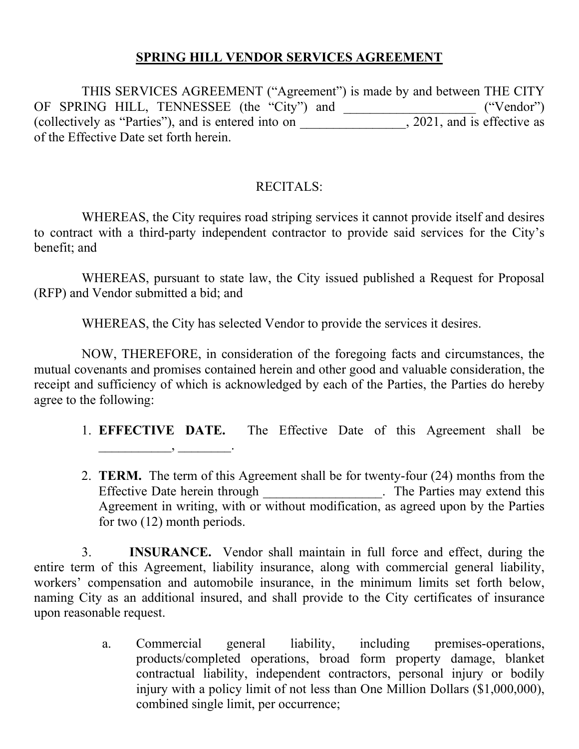# **SPRING HILL VENDOR SERVICES AGREEMENT**

THIS SERVICES AGREEMENT ("Agreement") is made by and between THE CITY OF SPRING HILL, TENNESSEE (the "City") and \_\_\_\_\_\_\_\_\_\_\_\_\_\_\_\_\_\_\_\_ ("Vendor") (collectively as "Parties"), and is entered into on \_\_\_\_\_\_\_\_\_\_\_\_\_\_\_\_, 2021, and is effective as of the Effective Date set forth herein.

# RECITALS:

WHEREAS, the City requires road striping services it cannot provide itself and desires to contract with a third-party independent contractor to provide said services for the City's benefit; and

WHEREAS, pursuant to state law, the City issued published a Request for Proposal (RFP) and Vendor submitted a bid; and

WHEREAS, the City has selected Vendor to provide the services it desires.

NOW, THEREFORE, in consideration of the foregoing facts and circumstances, the mutual covenants and promises contained herein and other good and valuable consideration, the receipt and sufficiency of which is acknowledged by each of the Parties, the Parties do hereby agree to the following:

 $\qquad \qquad$ 

- 1. **EFFECTIVE DATE.** The Effective Date of this Agreement shall be
- 2. **TERM.** The term of this Agreement shall be for twenty-four (24) months from the Effective Date herein through the The Parties may extend this Agreement in writing, with or without modification, as agreed upon by the Parties for two (12) month periods.

3. **INSURANCE.** Vendor shall maintain in full force and effect, during the entire term of this Agreement, liability insurance, along with commercial general liability, workers' compensation and automobile insurance, in the minimum limits set forth below, naming City as an additional insured, and shall provide to the City certificates of insurance upon reasonable request.

> a. Commercial general liability, including premises-operations, products/completed operations, broad form property damage, blanket contractual liability, independent contractors, personal injury or bodily injury with a policy limit of not less than One Million Dollars (\$1,000,000), combined single limit, per occurrence;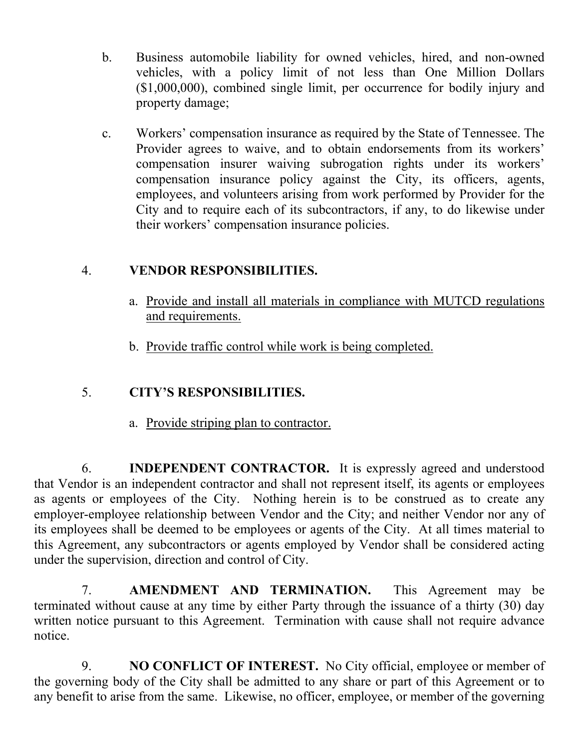- b. Business automobile liability for owned vehicles, hired, and non-owned vehicles, with a policy limit of not less than One Million Dollars (\$1,000,000), combined single limit, per occurrence for bodily injury and property damage;
- c. Workers' compensation insurance as required by the State of Tennessee. The Provider agrees to waive, and to obtain endorsements from its workers' compensation insurer waiving subrogation rights under its workers' compensation insurance policy against the City, its officers, agents, employees, and volunteers arising from work performed by Provider for the City and to require each of its subcontractors, if any, to do likewise under their workers' compensation insurance policies.

# 4. **VENDOR RESPONSIBILITIES.**

- a. Provide and install all materials in compliance with MUTCD regulations and requirements.
- b. Provide traffic control while work is being completed.

# 5. **CITY'S RESPONSIBILITIES.**

a. Provide striping plan to contractor.

6. **INDEPENDENT CONTRACTOR.** It is expressly agreed and understood that Vendor is an independent contractor and shall not represent itself, its agents or employees as agents or employees of the City. Nothing herein is to be construed as to create any employer-employee relationship between Vendor and the City; and neither Vendor nor any of its employees shall be deemed to be employees or agents of the City. At all times material to this Agreement, any subcontractors or agents employed by Vendor shall be considered acting under the supervision, direction and control of City.

7. **AMENDMENT AND TERMINATION.** This Agreement may be terminated without cause at any time by either Party through the issuance of a thirty (30) day written notice pursuant to this Agreement. Termination with cause shall not require advance notice.

9. **NO CONFLICT OF INTEREST.** No City official, employee or member of the governing body of the City shall be admitted to any share or part of this Agreement or to any benefit to arise from the same. Likewise, no officer, employee, or member of the governing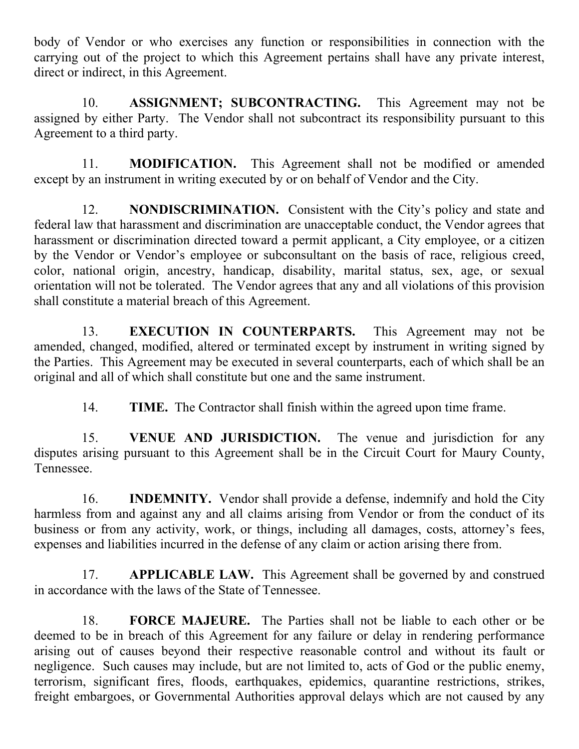body of Vendor or who exercises any function or responsibilities in connection with the carrying out of the project to which this Agreement pertains shall have any private interest, direct or indirect, in this Agreement.

10. **ASSIGNMENT; SUBCONTRACTING.** This Agreement may not be assigned by either Party. The Vendor shall not subcontract its responsibility pursuant to this Agreement to a third party.

11. **MODIFICATION.** This Agreement shall not be modified or amended except by an instrument in writing executed by or on behalf of Vendor and the City.

12. **NONDISCRIMINATION.** Consistent with the City's policy and state and federal law that harassment and discrimination are unacceptable conduct, the Vendor agrees that harassment or discrimination directed toward a permit applicant, a City employee, or a citizen by the Vendor or Vendor's employee or subconsultant on the basis of race, religious creed, color, national origin, ancestry, handicap, disability, marital status, sex, age, or sexual orientation will not be tolerated. The Vendor agrees that any and all violations of this provision shall constitute a material breach of this Agreement.

13. **EXECUTION IN COUNTERPARTS.** This Agreement may not be amended, changed, modified, altered or terminated except by instrument in writing signed by the Parties. This Agreement may be executed in several counterparts, each of which shall be an original and all of which shall constitute but one and the same instrument.

14. **TIME.** The Contractor shall finish within the agreed upon time frame.

15. **VENUE AND JURISDICTION.** The venue and jurisdiction for any disputes arising pursuant to this Agreement shall be in the Circuit Court for Maury County, Tennessee.

16. **INDEMNITY.** Vendor shall provide a defense, indemnify and hold the City harmless from and against any and all claims arising from Vendor or from the conduct of its business or from any activity, work, or things, including all damages, costs, attorney's fees, expenses and liabilities incurred in the defense of any claim or action arising there from.

17. **APPLICABLE LAW.** This Agreement shall be governed by and construed in accordance with the laws of the State of Tennessee.

18. **FORCE MAJEURE.** The Parties shall not be liable to each other or be deemed to be in breach of this Agreement for any failure or delay in rendering performance arising out of causes beyond their respective reasonable control and without its fault or negligence. Such causes may include, but are not limited to, acts of God or the public enemy, terrorism, significant fires, floods, earthquakes, epidemics, quarantine restrictions, strikes, freight embargoes, or Governmental Authorities approval delays which are not caused by any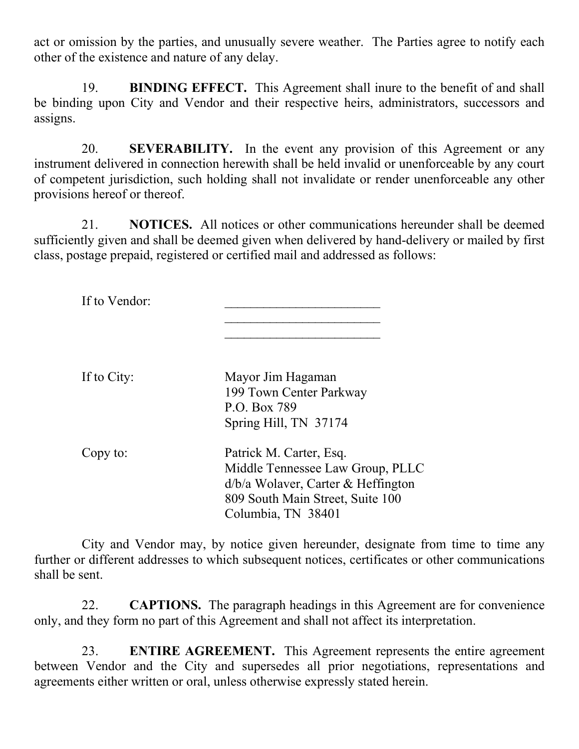act or omission by the parties, and unusually severe weather. The Parties agree to notify each other of the existence and nature of any delay.

19. **BINDING EFFECT.** This Agreement shall inure to the benefit of and shall be binding upon City and Vendor and their respective heirs, administrators, successors and assigns.

20. **SEVERABILITY.** In the event any provision of this Agreement or any instrument delivered in connection herewith shall be held invalid or unenforceable by any court of competent jurisdiction, such holding shall not invalidate or render unenforceable any other provisions hereof or thereof.

21. **NOTICES.** All notices or other communications hereunder shall be deemed sufficiently given and shall be deemed given when delivered by hand-delivery or mailed by first class, postage prepaid, registered or certified mail and addressed as follows:

If to Vendor:

If to City: Mayor Jim Hagaman 199 Town Center Parkway P.O. Box 789 Spring Hill, TN 37174

\_\_\_\_\_\_\_\_\_\_\_\_\_\_\_\_\_\_\_\_\_\_\_\_ \_\_\_\_\_\_\_\_\_\_\_\_\_\_\_\_\_\_\_\_\_\_\_\_

| Copy to: | Patrick M. Carter, Esq.              |
|----------|--------------------------------------|
|          | Middle Tennessee Law Group, PLLC     |
|          | $d/b/a$ Wolaver, Carter & Heffington |
|          | 809 South Main Street, Suite 100     |
|          | Columbia, TN 38401                   |

City and Vendor may, by notice given hereunder, designate from time to time any further or different addresses to which subsequent notices, certificates or other communications shall be sent.

22. **CAPTIONS.** The paragraph headings in this Agreement are for convenience only, and they form no part of this Agreement and shall not affect its interpretation.

23. **ENTIRE AGREEMENT.** This Agreement represents the entire agreement between Vendor and the City and supersedes all prior negotiations, representations and agreements either written or oral, unless otherwise expressly stated herein.